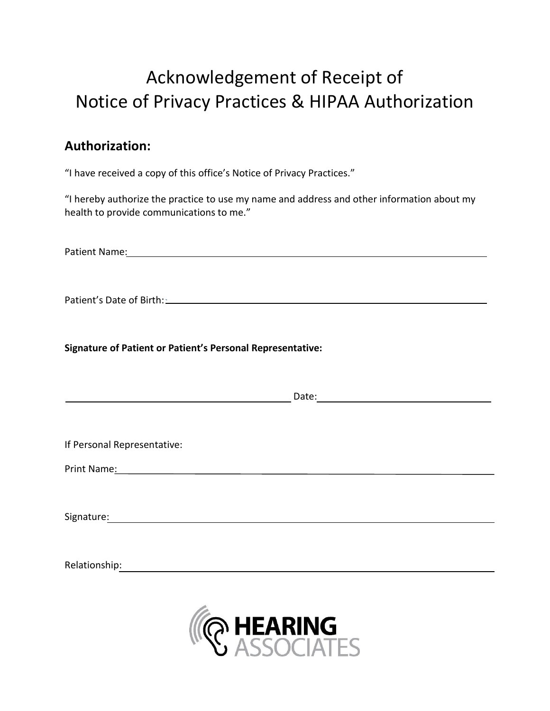## Acknowledgement of Receipt of Notice of Privacy Practices & HIPAA Authorization

## **Authorization:**

"I have received a copy of this office's Notice of Privacy Practices."

"I hereby authorize the practice to use my name and address and other information about my health to provide communications to me."

Patient Name:

Patient's Date of Birth: 2008 and 2008 and 2008 and 2008 and 2008 and 2008 and 2008 and 2008 and 2008 and 2008

**Signature of Patient or Patient's Personal Representative:**

<u>Date: Experimental Date: Experimental Date: Experimental Date: Experimental Date: Experimental Date: Experimental Date: Experimental Date: Experimental Date: Experimental Date: Experimental Date: Experimental Date: Experi</u>

If Personal Representative:

Print Name:

Signature: The contract of the contract of the contract of the contract of the contract of the contract of the contract of the contract of the contract of the contract of the contract of the contract of the contract of the

Relationship: which is a set of the set of the set of the set of the set of the set of the set of the set of the set of the set of the set of the set of the set of the set of the set of the set of the set of the set of the